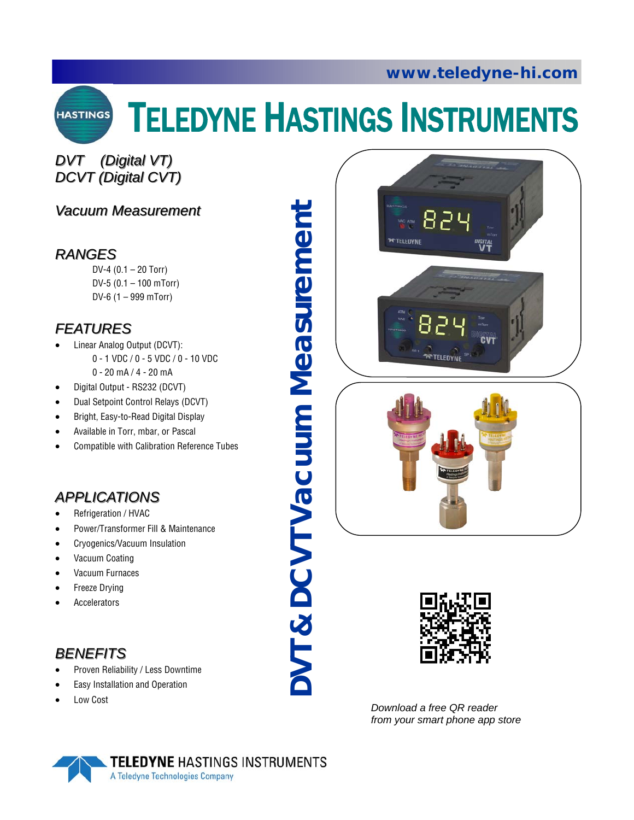

# TELEDYNE HASTINGS INSTRUMENTS

# *DVT (Digital VT) DVT (Digital VT) DCVT (Digital CVT) DCVT (Digital CVT)*

### *Vacuum Measurement Vacuum Measurement*

### *RANGES*

DV-4 (0.1 – 20 Torr) DV-5 (0.1 – 100 mTorr) DV-6 (1 – 999 mTorr)

# *FEATURES FEATURES*

- Linear Analog Output (DCVT): 0 - 1 VDC / 0 - 5 VDC / 0 - 10 VDC 0 - 20 mA / 4 - 20 mA
- Digital Output RS232 (DCVT)
- Dual Setpoint Control Relays (DCVT)
- Bright, Easy-to-Read Digital Display
- Available in Torr, mbar, or Pascal
- Compatible with Calibration Reference Tubes

# *APPLICATIONS APPLICATIONS*

- Refrigeration / HVAC
- Power/Transformer Fill & Maintenance
- Cryogenics/Vacuum Insulation
- Vacuum Coating
- Vacuum Furnaces
- Freeze Drying
- **Accelerators**

# *BENEFITS BENEFITS*

- Proven Reliability / Less Downtime
- Easy Installation and Operation
- Low Cost

**DVT & DCVT Vacuum Measurement**  & DCVT Vacuum Measurement TVC





*Download a free QR reader from your smart phone app store* 

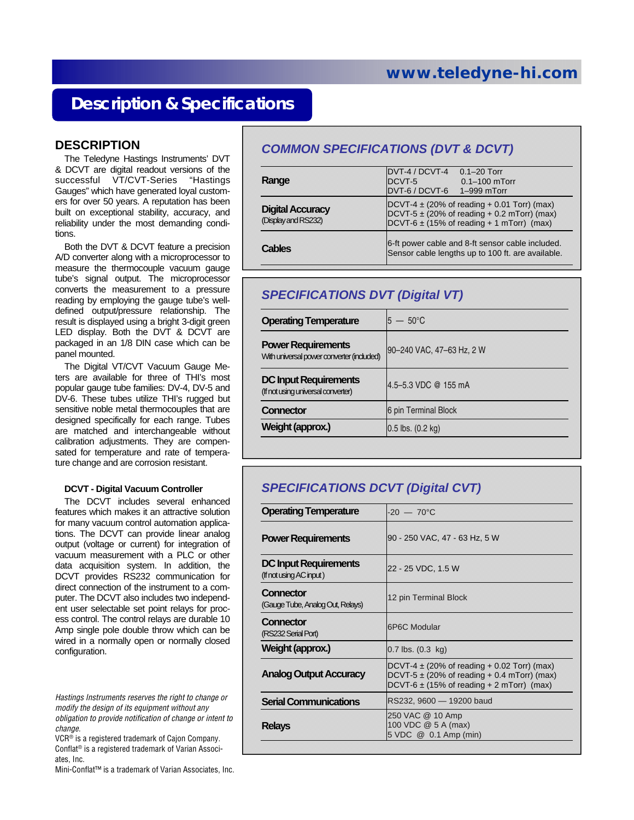# **Description & Specifications**

#### **DESCRIPTION**

The Teledyne Hastings Instruments' DVT & DCVT are digital readout versions of the successful VT/CVT-Series "Hastings Gauges" which have generated loyal customers for over 50 years. A reputation has been built on exceptional stability, accuracy, and reliability under the most demanding conditions.

Both the DVT & DCVT feature a precision A/D converter along with a microprocessor to measure the thermocouple vacuum gauge tube's signal output. The microprocessor converts the measurement to a pressure reading by employing the gauge tube's welldefined output/pressure relationship. The result is displayed using a bright 3-digit green LED display. Both the DVT & DCVT are packaged in an 1/8 DIN case which can be panel mounted.

The Digital VT/CVT Vacuum Gauge Meters are available for three of THI's most popular gauge tube families: DV-4, DV-5 and DV-6. These tubes utilize THI's rugged but sensitive noble metal thermocouples that are designed specifically for each range. Tubes are matched and interchangeable without calibration adjustments. They are compensated for temperature and rate of temperature change and are corrosion resistant.

#### **DCVT - Digital Vacuum Controller**

The DCVT includes several enhanced features which makes it an attractive solution for many vacuum control automation applications. The DCVT can provide linear analog output (voltage or current) for integration of vacuum measurement with a PLC or other data acquisition system. In addition, the DCVT provides RS232 communication for direct connection of the instrument to a computer. The DCVT also includes two independent user selectable set point relays for process control. The control relays are durable 10 Amp single pole double throw which can be wired in a normally open or normally closed configuration.

*Hastings Instruments reserves the right to change or modify the design of its equipment without any obligation to provide notification of change or intent to change.* 

VCR® is a registered trademark of Cajon Company. Conflat® is a registered trademark of Varian Associates, Inc.

Mini-Conflat™ is a trademark of Varian Associates, Inc.

#### *COMMON SPECIFICATIONS (DVT & DCVT)*

| Range                                          | DVT-4 / DCVT-4<br>DCVT-5<br>DVT-6 / DCVT-6 1-999 mTorr                                                                                                                | $0.1 - 20$ Torr<br>$0.1 - 100$ mTorr |  |
|------------------------------------------------|-----------------------------------------------------------------------------------------------------------------------------------------------------------------------|--------------------------------------|--|
| <b>Digital Accuracy</b><br>(Display and RS232) | DCVT-4 $\pm$ (20% of reading + 0.01 Torr) (max)<br>DCVT-5 $\pm$ (20% of reading + 0.2 mTorr) (max)<br>$DCVT-6 \pm (15\% \text{ of reading } + 1 \text{ mTorr})$ (max) |                                      |  |
| Cables                                         | 6-ft power cable and 8-ft sensor cable included.<br>Sensor cable lengths up to 100 ft. are available.                                                                 |                                      |  |

#### *SPECIFICATIONS DVT (Digital VT)*

| $5 - 50^{\circ}$ C            |
|-------------------------------|
| 90-240 VAC, 47-63 Hz, 2 W     |
| 4.5-5.3 VDC @ 155 mA          |
| 6 pin Terminal Block          |
| $0.5$ lbs. $(0.2 \text{ kg})$ |
|                               |

#### *SPECIFICATIONS DCVT (Digital CVT)*

| <b>Operating Temperature</b>                            | $-20 - 70^{\circ}$ C                                                                                                                                  |  |  |
|---------------------------------------------------------|-------------------------------------------------------------------------------------------------------------------------------------------------------|--|--|
| <b>Power Requirements</b>                               | 90 - 250 VAC, 47 - 63 Hz, 5 W                                                                                                                         |  |  |
| <b>DC Input Requirements</b><br>(If not using AC input) | 22 - 25 VDC, 1.5 W                                                                                                                                    |  |  |
| Connector<br>(Gauge Tube, Analog Out, Relays)           | 12 pin Terminal Block                                                                                                                                 |  |  |
| Connector<br>(RS232 Serial Port)                        | <b>6P6C Modular</b>                                                                                                                                   |  |  |
| Weight (approx.)                                        | $0.7$ lbs. $(0.3 \text{ kg})$                                                                                                                         |  |  |
| <b>Analog Output Accuracy</b>                           | DCVT-4 $\pm$ (20% of reading + 0.02 Torr) (max)<br>DCVT-5 $\pm$ (20% of reading $+$ 0.4 mTorr) (max)<br>DCVT-6 $\pm$ (15% of reading + 2 mTorr) (max) |  |  |
| <b>Serial Communications</b>                            | RS232, 9600 - 19200 baud                                                                                                                              |  |  |
| <b>Relays</b>                                           | 250 VAC @ 10 Amp<br>100 VDC @ 5 A (max)<br>5 VDC @ 0.1 Amp (min)                                                                                      |  |  |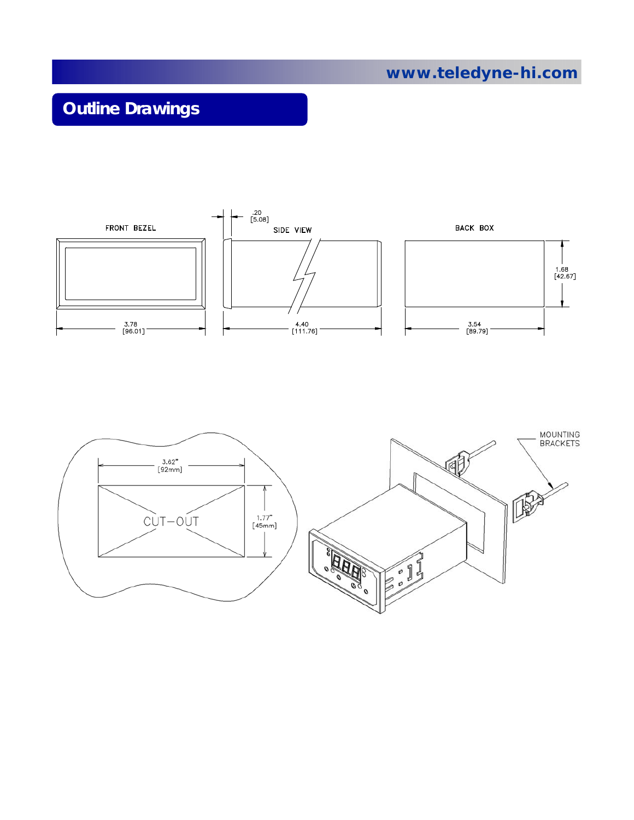# **Outline Drawings**



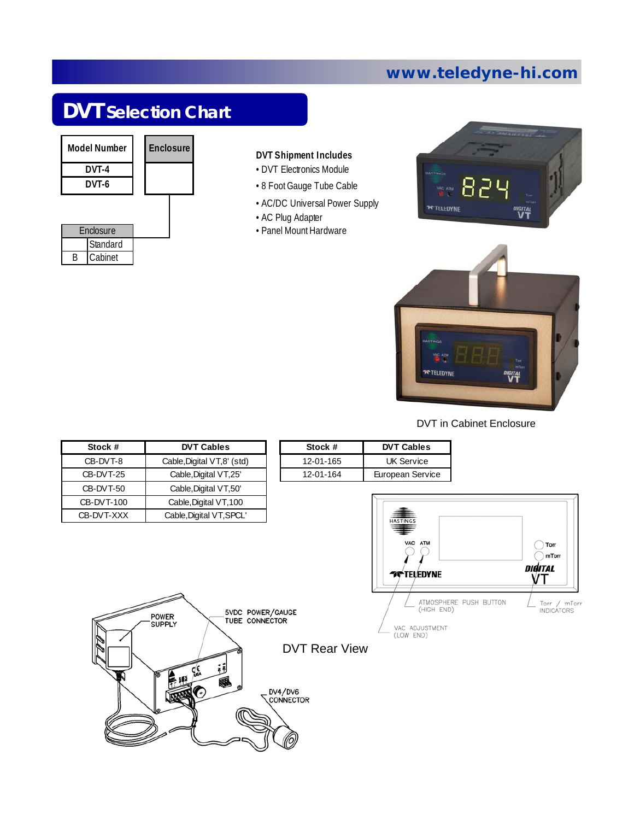# **DVT Selection Chart**



B

Cabinet

|  |  | <b>DVT Shipment Includes</b> |  |  |
|--|--|------------------------------|--|--|
|--|--|------------------------------|--|--|

- DVT Electronics Module
- 8 Foot Gauge Tube Cable
- AC/DC Universal Power Supply
- AC Plug Adapter
- Panel Mount Hardware





#### DVT in Cabinet Enclosure

| Stock #    | <b>DVT Cables</b>                                                                        | Stock #                                      | <b>DVT Cables</b>                                                                       |                                                                                               |
|------------|------------------------------------------------------------------------------------------|----------------------------------------------|-----------------------------------------------------------------------------------------|-----------------------------------------------------------------------------------------------|
| CB-DVT-8   | Cable, Digital VT, 8' (std)                                                              | 12-01-165                                    | <b>UK Service</b>                                                                       |                                                                                               |
| CB-DVT-25  | Cable, Digital VT, 25'                                                                   | 12-01-164                                    | European Service                                                                        |                                                                                               |
| CB-DVT-50  | Cable, Digital VT, 50'                                                                   |                                              |                                                                                         |                                                                                               |
| CB-DVT-100 | Cable, Digital VT, 100                                                                   |                                              |                                                                                         |                                                                                               |
| CB-DVT-XXX | Cable, Digital VT, SPCL'<br>5VDC POWER/GAUGE<br>POWER<br>TUBE CONNECTOR<br><b>SUPPLY</b> |                                              | HAS TINGS<br>VAC ATM<br><b>TY TELEDYNE</b><br>(HIGH END)<br>VAC ADJUSTMENT<br>(LOW END) | Torr<br>mTorr<br>DIGITAL<br>۷T<br>ATMOSPHERE PUSH BUTTON<br>Torr / mTorr<br><b>INDICATORS</b> |
|            | ςξ<br>區絕<br><b>SEPTEMBER</b>                                                             | <b>DVT Rear View</b><br>DV4/DV6<br>CONNECTOR |                                                                                         |                                                                                               |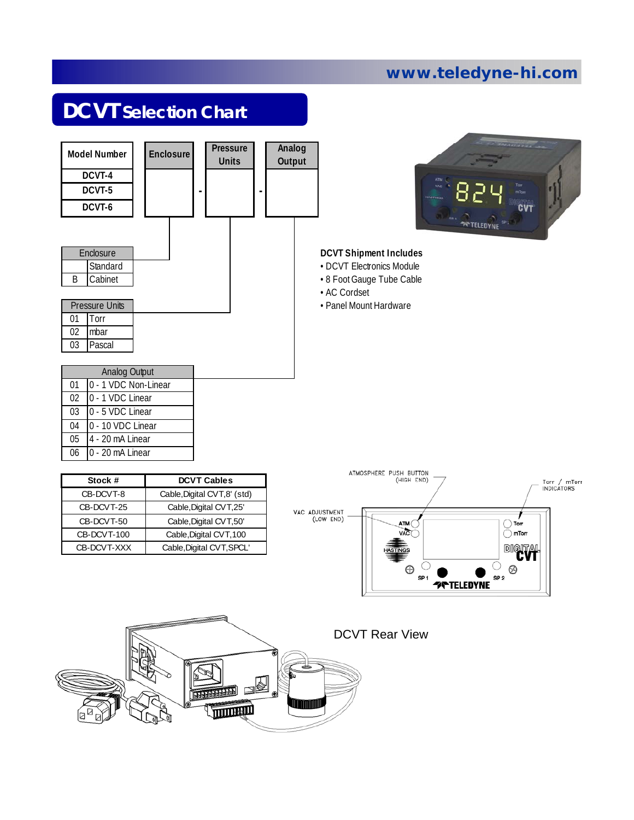